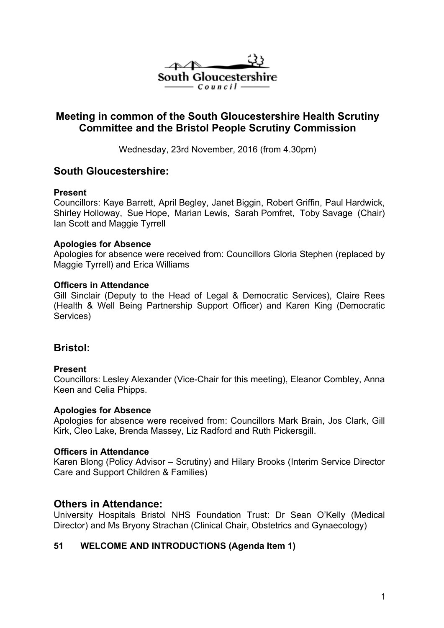

# **Meeting in common of the South Gloucestershire Health Scrutiny Committee and the Bristol People Scrutiny Commission**

Wednesday, 23rd November, 2016 (from 4.30pm)

## **South Gloucestershire:**

## **Present**

Councillors: Kaye Barrett, April Begley, Janet Biggin, Robert Griffin, Paul Hardwick, Shirley Holloway, Sue Hope, Marian Lewis, Sarah Pomfret, Toby Savage (Chair) Ian Scott and Maggie Tyrrell

## **Apologies for Absence**

Apologies for absence were received from: Councillors Gloria Stephen (replaced by Maggie Tyrrell) and Erica Williams

#### **Officers in Attendance**

Gill Sinclair (Deputy to the Head of Legal & Democratic Services), Claire Rees (Health & Well Being Partnership Support Officer) and Karen King (Democratic Services)

## **Bristol:**

## **Present**

Councillors: Lesley Alexander (Vice-Chair for this meeting), Eleanor Combley, Anna Keen and Celia Phipps.

## **Apologies for Absence**

Apologies for absence were received from: Councillors Mark Brain, Jos Clark, Gill Kirk, Cleo Lake, Brenda Massey, Liz Radford and Ruth Pickersgill.

#### **Officers in Attendance**

Karen Blong (Policy Advisor – Scrutiny) and Hilary Brooks (Interim Service Director Care and Support Children & Families)

## **Others in Attendance:**

University Hospitals Bristol NHS Foundation Trust: Dr Sean O'Kelly (Medical Director) and Ms Bryony Strachan (Clinical Chair, Obstetrics and Gynaecology)

## **51 WELCOME AND INTRODUCTIONS (Agenda Item 1)**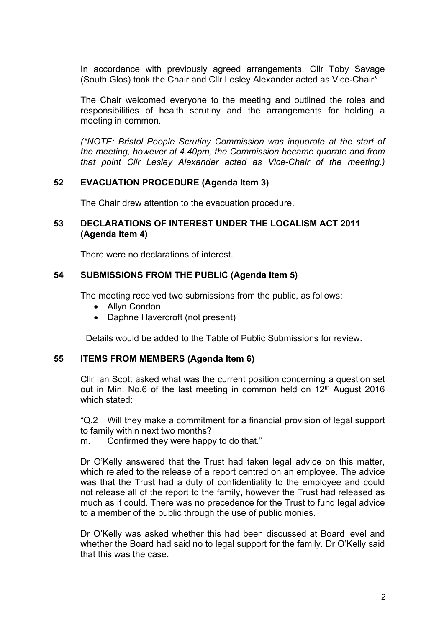In accordance with previously agreed arrangements, Cllr Toby Savage (South Glos) took the Chair and Cllr Lesley Alexander acted as Vice-Chair\*

The Chair welcomed everyone to the meeting and outlined the roles and responsibilities of health scrutiny and the arrangements for holding a meeting in common.

*(\*NOTE: Bristol People Scrutiny Commission was inquorate at the start of the meeting, however at 4.40pm, the Commission became quorate and from that point Cllr Lesley Alexander acted as Vice-Chair of the meeting.)*

#### **52 EVACUATION PROCEDURE (Agenda Item 3)**

The Chair drew attention to the evacuation procedure.

### **53 DECLARATIONS OF INTEREST UNDER THE LOCALISM ACT 2011 (Agenda Item 4)**

There were no declarations of interest.

## **54 SUBMISSIONS FROM THE PUBLIC (Agenda Item 5)**

The meeting received two submissions from the public, as follows:

- Allyn Condon
- Daphne Havercroft (not present)

Details would be added to the Table of Public Submissions for review.

## **55 ITEMS FROM MEMBERS (Agenda Item 6)**

Cllr Ian Scott asked what was the current position concerning a question set out in Min. No.6 of the last meeting in common held on 12<sup>th</sup> August 2016 which stated:

"Q.2 Will they make a commitment for a financial provision of legal support to family within next two months?

m. Confirmed they were happy to do that."

Dr O'Kelly answered that the Trust had taken legal advice on this matter, which related to the release of a report centred on an employee. The advice was that the Trust had a duty of confidentiality to the employee and could not release all of the report to the family, however the Trust had released as much as it could. There was no precedence for the Trust to fund legal advice to a member of the public through the use of public monies.

Dr O'Kelly was asked whether this had been discussed at Board level and whether the Board had said no to legal support for the family. Dr O'Kelly said that this was the case.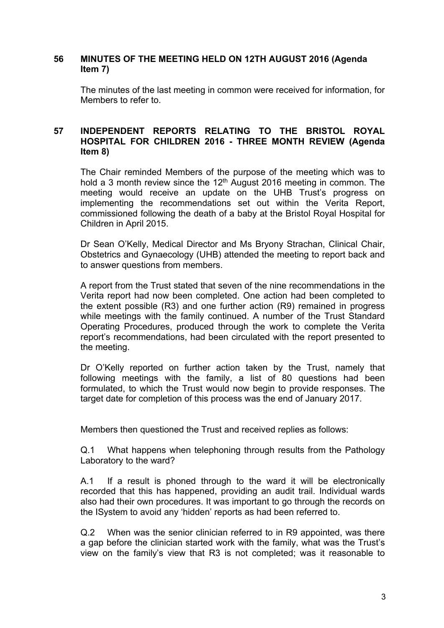### **56 MINUTES OF THE MEETING HELD ON 12TH AUGUST 2016 (Agenda Item 7)**

The minutes of the last meeting in common were received for information, for Members to refer to.

## **57 INDEPENDENT REPORTS RELATING TO THE BRISTOL ROYAL HOSPITAL FOR CHILDREN 2016 - THREE MONTH REVIEW (Agenda Item 8)**

The Chair reminded Members of the purpose of the meeting which was to hold a 3 month review since the  $12<sup>th</sup>$  August 2016 meeting in common. The meeting would receive an update on the UHB Trust's progress on implementing the recommendations set out within the Verita Report, commissioned following the death of a baby at the Bristol Royal Hospital for Children in April 2015.

Dr Sean O'Kelly, Medical Director and Ms Bryony Strachan, Clinical Chair, Obstetrics and Gynaecology (UHB) attended the meeting to report back and to answer questions from members.

A report from the Trust stated that seven of the nine recommendations in the Verita report had now been completed. One action had been completed to the extent possible (R3) and one further action (R9) remained in progress while meetings with the family continued. A number of the Trust Standard Operating Procedures, produced through the work to complete the Verita report's recommendations, had been circulated with the report presented to the meeting.

Dr O'Kelly reported on further action taken by the Trust, namely that following meetings with the family, a list of 80 questions had been formulated, to which the Trust would now begin to provide responses. The target date for completion of this process was the end of January 2017.

Members then questioned the Trust and received replies as follows:

Q.1 What happens when telephoning through results from the Pathology Laboratory to the ward?

A.1 If a result is phoned through to the ward it will be electronically recorded that this has happened, providing an audit trail. Individual wards also had their own procedures. It was important to go through the records on the ISystem to avoid any 'hidden' reports as had been referred to.

Q.2 When was the senior clinician referred to in R9 appointed, was there a gap before the clinician started work with the family, what was the Trust's view on the family's view that R3 is not completed; was it reasonable to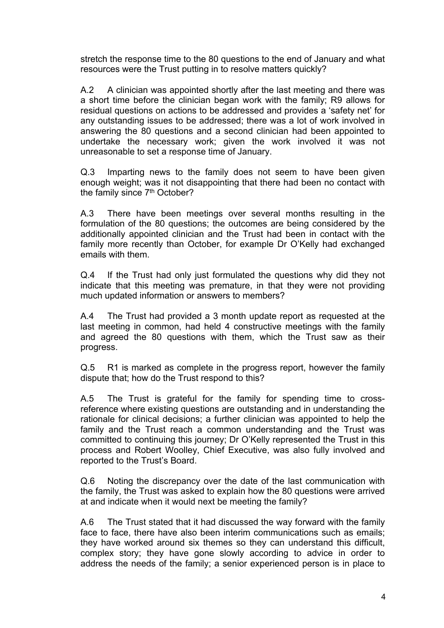stretch the response time to the 80 questions to the end of January and what resources were the Trust putting in to resolve matters quickly?

A.2 A clinician was appointed shortly after the last meeting and there was a short time before the clinician began work with the family; R9 allows for residual questions on actions to be addressed and provides a 'safety net' for any outstanding issues to be addressed; there was a lot of work involved in answering the 80 questions and a second clinician had been appointed to undertake the necessary work; given the work involved it was not unreasonable to set a response time of January.

Q.3 Imparting news to the family does not seem to have been given enough weight; was it not disappointing that there had been no contact with the family since 7<sup>th</sup> October?

A.3 There have been meetings over several months resulting in the formulation of the 80 questions; the outcomes are being considered by the additionally appointed clinician and the Trust had been in contact with the family more recently than October, for example Dr O'Kelly had exchanged emails with them.

Q.4 If the Trust had only just formulated the questions why did they not indicate that this meeting was premature, in that they were not providing much updated information or answers to members?

A.4 The Trust had provided a 3 month update report as requested at the last meeting in common, had held 4 constructive meetings with the family and agreed the 80 questions with them, which the Trust saw as their progress.

Q.5 R1 is marked as complete in the progress report, however the family dispute that; how do the Trust respond to this?

A.5 The Trust is grateful for the family for spending time to crossreference where existing questions are outstanding and in understanding the rationale for clinical decisions; a further clinician was appointed to help the family and the Trust reach a common understanding and the Trust was committed to continuing this journey; Dr O'Kelly represented the Trust in this process and Robert Woolley, Chief Executive, was also fully involved and reported to the Trust's Board.

Q.6 Noting the discrepancy over the date of the last communication with the family, the Trust was asked to explain how the 80 questions were arrived at and indicate when it would next be meeting the family?

A.6 The Trust stated that it had discussed the way forward with the family face to face, there have also been interim communications such as emails; they have worked around six themes so they can understand this difficult, complex story; they have gone slowly according to advice in order to address the needs of the family; a senior experienced person is in place to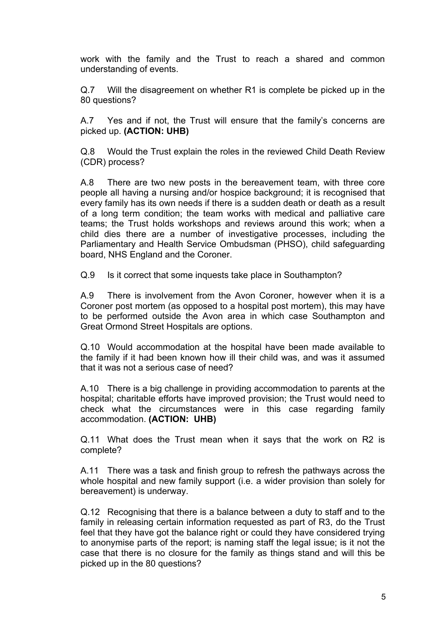work with the family and the Trust to reach a shared and common understanding of events.

Q.7 Will the disagreement on whether R1 is complete be picked up in the 80 questions?

A.7 Yes and if not, the Trust will ensure that the family's concerns are picked up. **(ACTION: UHB)**

Q.8 Would the Trust explain the roles in the reviewed Child Death Review (CDR) process?

A.8 There are two new posts in the bereavement team, with three core people all having a nursing and/or hospice background; it is recognised that every family has its own needs if there is a sudden death or death as a result of a long term condition; the team works with medical and palliative care teams; the Trust holds workshops and reviews around this work; when a child dies there are a number of investigative processes, including the Parliamentary and Health Service Ombudsman (PHSO), child safeguarding board, NHS England and the Coroner.

Q.9 Is it correct that some inquests take place in Southampton?

A.9 There is involvement from the Avon Coroner, however when it is a Coroner post mortem (as opposed to a hospital post mortem), this may have to be performed outside the Avon area in which case Southampton and Great Ormond Street Hospitals are options.

Q.10 Would accommodation at the hospital have been made available to the family if it had been known how ill their child was, and was it assumed that it was not a serious case of need?

A.10 There is a big challenge in providing accommodation to parents at the hospital; charitable efforts have improved provision; the Trust would need to check what the circumstances were in this case regarding family accommodation. **(ACTION: UHB)**

Q.11 What does the Trust mean when it says that the work on R2 is complete?

A.11 There was a task and finish group to refresh the pathways across the whole hospital and new family support (i.e. a wider provision than solely for bereavement) is underway.

Q.12 Recognising that there is a balance between a duty to staff and to the family in releasing certain information requested as part of R3, do the Trust feel that they have got the balance right or could they have considered trying to anonymise parts of the report; is naming staff the legal issue; is it not the case that there is no closure for the family as things stand and will this be picked up in the 80 questions?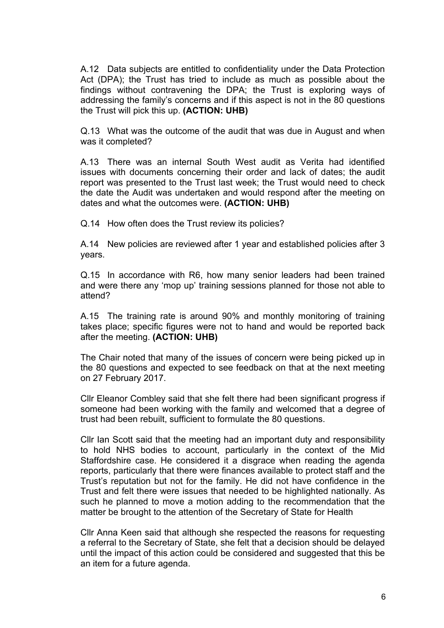A.12 Data subjects are entitled to confidentiality under the Data Protection Act (DPA); the Trust has tried to include as much as possible about the findings without contravening the DPA; the Trust is exploring ways of addressing the family's concerns and if this aspect is not in the 80 questions the Trust will pick this up. **(ACTION: UHB)**

Q.13 What was the outcome of the audit that was due in August and when was it completed?

A.13 There was an internal South West audit as Verita had identified issues with documents concerning their order and lack of dates; the audit report was presented to the Trust last week; the Trust would need to check the date the Audit was undertaken and would respond after the meeting on dates and what the outcomes were. **(ACTION: UHB)**

Q.14 How often does the Trust review its policies?

A.14 New policies are reviewed after 1 year and established policies after 3 years.

Q.15 In accordance with R6, how many senior leaders had been trained and were there any 'mop up' training sessions planned for those not able to attend?

A.15 The training rate is around 90% and monthly monitoring of training takes place; specific figures were not to hand and would be reported back after the meeting. **(ACTION: UHB)**

The Chair noted that many of the issues of concern were being picked up in the 80 questions and expected to see feedback on that at the next meeting on 27 February 2017.

Cllr Eleanor Combley said that she felt there had been significant progress if someone had been working with the family and welcomed that a degree of trust had been rebuilt, sufficient to formulate the 80 questions.

Cllr Ian Scott said that the meeting had an important duty and responsibility to hold NHS bodies to account, particularly in the context of the Mid Staffordshire case. He considered it a disgrace when reading the agenda reports, particularly that there were finances available to protect staff and the Trust's reputation but not for the family. He did not have confidence in the Trust and felt there were issues that needed to be highlighted nationally. As such he planned to move a motion adding to the recommendation that the matter be brought to the attention of the Secretary of State for Health

Cllr Anna Keen said that although she respected the reasons for requesting a referral to the Secretary of State, she felt that a decision should be delayed until the impact of this action could be considered and suggested that this be an item for a future agenda.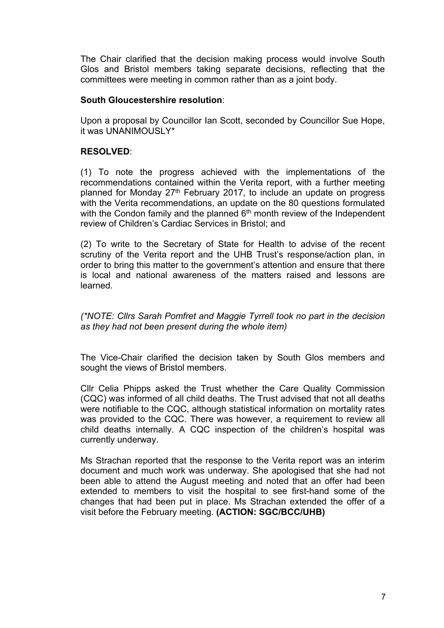The Chair clarified that the decision making process would involve South Glos and Bristol members taking separate decisions, reflecting that the committees were meeting in common rather than as a joint body.

### **South Gloucestershire resolution**:

Upon a proposal by Councillor Ian Scott, seconded by Councillor Sue Hope, it was UNANIMOUSLY\*

## **RESOLVED**:

(1) To note the progress achieved with the implementations of the recommendations contained within the Verita report, with a further meeting planned for Monday 27<sup>th</sup> February 2017, to include an update on progress with the Verita recommendations, an update on the 80 questions formulated with the Condon family and the planned  $6<sup>th</sup>$  month review of the Independent review of Children's Cardiac Services in Bristol; and

(2) To write to the Secretary of State for Health to advise of the recent scrutiny of the Verita report and the UHB Trust's response/action plan, in order to bring this matter to the government's attention and ensure that there is local and national awareness of the matters raised and lessons are learned.

*(\*NOTE: Cllrs Sarah Pomfret and Maggie Tyrrell took no part in the decision as they had not been present during the whole item)*

The Vice-Chair clarified the decision taken by South Glos members and sought the views of Bristol members.

Cllr Celia Phipps asked the Trust whether the Care Quality Commission (CQC) was informed of all child deaths. The Trust advised that not all deaths were notifiable to the CQC, although statistical information on mortality rates was provided to the CQC. There was however, a requirement to review all child deaths internally. A CQC inspection of the children's hospital was currently underway.

Ms Strachan reported that the response to the Verita report was an interim document and much work was underway. She apologised that she had not been able to attend the August meeting and noted that an offer had been extended to members to visit the hospital to see first-hand some of the changes that had been put in place. Ms Strachan extended the offer of a visit before the February meeting. **(ACTION: SGC/BCC/UHB)**